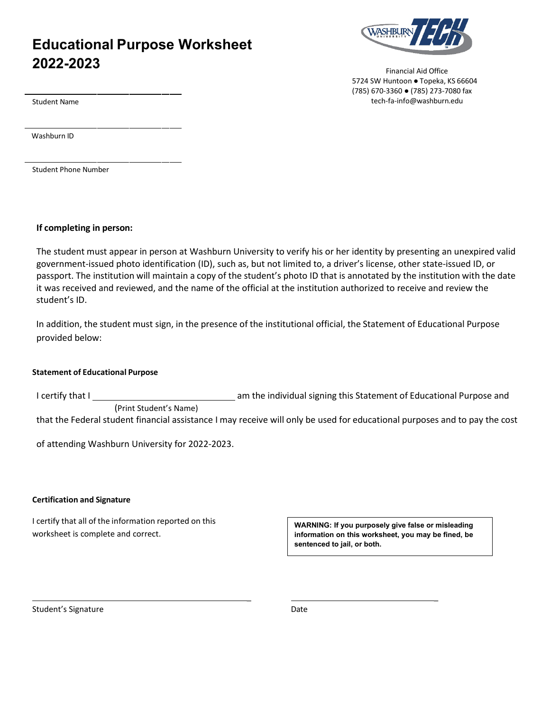# **Educational Purpose Worksheet 2022-2023**



Financial Aid Office 5724 SW Huntoon ● Topeka, KS 66604 (785) 670-3360 ● (785) 273-7080 fax tech-fa-inf[o@washburn.edu](mailto:financialaid@washburn.edu) 

Student Name

Washburn ID

Student Phone Number

## **If completing in person:**

The student must appear in person at Washburn University to verify his or her identity by presenting an unexpired valid government-issued photo identification (ID), such as, but not limited to, a driver's license, other state-issued ID, or passport. The institution will maintain a copy of the student's photo ID that is annotated by the institution with the date it was received and reviewed, and the name of the official at the institution authorized to receive and review the student's ID.

In addition, the student must sign, in the presence of the institutional official, the Statement of Educational Purpose provided below:

## **Statement of Educational Purpose**

I certify that I **contract a meta-value of Educational Purpose and** and the individual signing this Statement of Educational Purpose and (Print Student's Name) that the Federal student financial assistance I may receive will only be used for educational purposes and to pay the cost

of attending Washburn University for 2022-2023.

## **Certification and Signature**

I certify that all of the information reported on this worksheet is complete and correct.

**WARNING: If you purposely give false or misleading information on this worksheet, you may be fined, be sentenced to jail, or both.**

Student's Signature Date

\_ \_